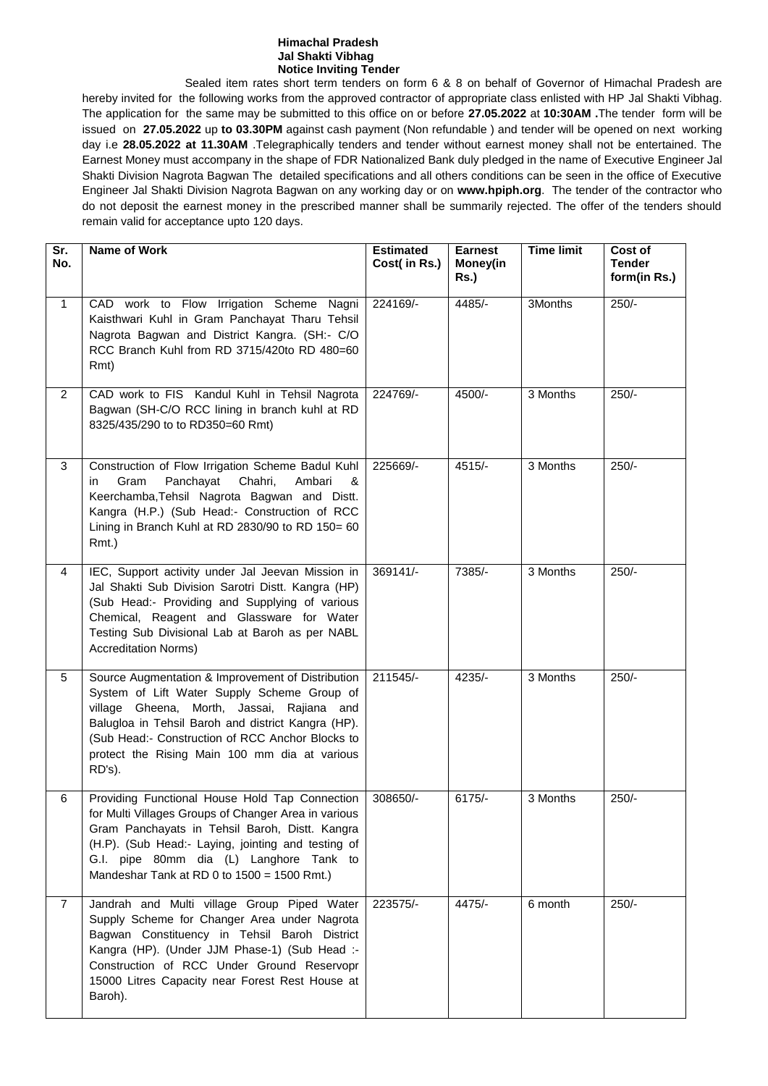#### **Himachal Pradesh Jal Shakti Vibhag Notice Inviting Tender**

Sealed item rates short term tenders on form 6 & 8 on behalf of Governor of Himachal Pradesh are hereby invited for the following works from the approved contractor of appropriate class enlisted with HP Jal Shakti Vibhag. The application for the same may be submitted to this office on or before **27.05.2022** at **10:30AM .**The tender form will be issued on **27.05.2022** up **to 03.30PM** against cash payment (Non refundable ) and tender will be opened on next working day i.e **28.05.2022 at 11.30AM** .Telegraphically tenders and tender without earnest money shall not be entertained. The Earnest Money must accompany in the shape of FDR Nationalized Bank duly pledged in the name of Executive Engineer Jal Shakti Division Nagrota Bagwan The detailed specifications and all others conditions can be seen in the office of Executive Engineer Jal Shakti Division Nagrota Bagwan on any working day or on **www.hpiph.org**. The tender of the contractor who do not deposit the earnest money in the prescribed manner shall be summarily rejected. The offer of the tenders should remain valid for acceptance upto 120 days.

| Sr.<br>No.     | <b>Name of Work</b>                                                                                                                                                                                                                                                                                                 | <b>Estimated</b><br>Cost( in Rs.) | <b>Earnest</b><br>Money(in<br>Rs.) | <b>Time limit</b> | Cost of<br><b>Tender</b><br>form(in Rs.) |
|----------------|---------------------------------------------------------------------------------------------------------------------------------------------------------------------------------------------------------------------------------------------------------------------------------------------------------------------|-----------------------------------|------------------------------------|-------------------|------------------------------------------|
| $\mathbf{1}$   | CAD work to Flow Irrigation Scheme Nagni<br>Kaisthwari Kuhl in Gram Panchayat Tharu Tehsil<br>Nagrota Bagwan and District Kangra. (SH:- C/O<br>RCC Branch Kuhl from RD 3715/420to RD 480=60<br>Rmt)                                                                                                                 | 224169/-                          | 4485/-                             | 3Months           | $250/-$                                  |
| $\overline{2}$ | CAD work to FIS Kandul Kuhl in Tehsil Nagrota<br>Bagwan (SH-C/O RCC lining in branch kuhl at RD<br>8325/435/290 to to RD350=60 Rmt)                                                                                                                                                                                 | 224769/-                          | 4500/-                             | 3 Months          | $250/-$                                  |
| 3              | Construction of Flow Irrigation Scheme Badul Kuhl<br>Gram<br>Panchayat<br>Chahri,<br>Ambari<br>in<br>&<br>Keerchamba, Tehsil Nagrota Bagwan and Distt.<br>Kangra (H.P.) (Sub Head:- Construction of RCC<br>Lining in Branch Kuhl at RD 2830/90 to RD 150= 60<br>Rmt.)                                               | 225669/-                          | 4515/-                             | 3 Months          | $250/-$                                  |
| 4              | IEC, Support activity under Jal Jeevan Mission in<br>Jal Shakti Sub Division Sarotri Distt. Kangra (HP)<br>(Sub Head:- Providing and Supplying of various<br>Chemical, Reagent and Glassware for Water<br>Testing Sub Divisional Lab at Baroh as per NABL<br><b>Accreditation Norms)</b>                            | 369141/-                          | 7385/-                             | 3 Months          | $250/-$                                  |
| 5              | Source Augmentation & Improvement of Distribution<br>System of Lift Water Supply Scheme Group of<br>village Gheena, Morth, Jassai, Rajiana and<br>Balugloa in Tehsil Baroh and district Kangra (HP).<br>(Sub Head:- Construction of RCC Anchor Blocks to<br>protect the Rising Main 100 mm dia at various<br>RD's). | 211545/-                          | 4235/-                             | 3 Months          | $250/-$                                  |
| 6              | Providing Functional House Hold Tap Connection<br>for Multi Villages Groups of Changer Area in various<br>Gram Panchayats in Tehsil Baroh, Distt. Kangra<br>(H.P). (Sub Head:- Laying, jointing and testing of<br>G.I. pipe 80mm dia (L) Langhore Tank to<br>Mandeshar Tank at RD 0 to 1500 = 1500 Rmt.)            | 308650/-                          | $6175/-$                           | 3 Months          | $250/-$                                  |
| $\overline{7}$ | Jandrah and Multi village Group Piped Water<br>Supply Scheme for Changer Area under Nagrota<br>Bagwan Constituency in Tehsil Baroh District<br>Kangra (HP). (Under JJM Phase-1) (Sub Head :-<br>Construction of RCC Under Ground Reservopr<br>15000 Litres Capacity near Forest Rest House at<br>Baroh).            | 223575/-                          | 4475/-                             | 6 month           | $250/-$                                  |